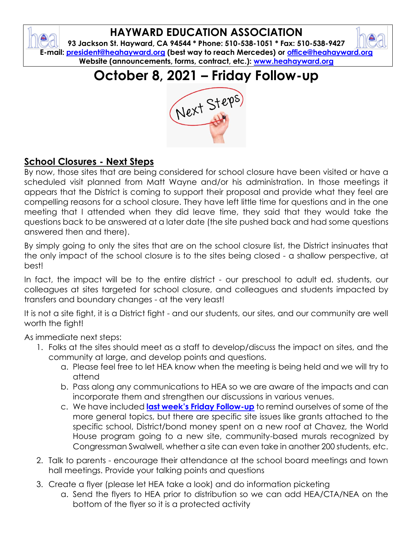## **HAYWARD EDUCATION ASSOCIATION**

**93 Jackson St. Hayward, CA 94544 \* Phone: 510-538-1051 \* Fax: 510-538-9427 E-mail: [president@heahayward.org](mailto:president@heahayward.org) (best way to reach Mercedes) or [office@heahayward.org](mailto:office@heahayward.org) Website (announcements, forms, contract, etc.): [www.heahayward.org](http://www.heahayward.org/)**

**October 8, 2021 – Friday Follow-up**



## **School Closures - Next Steps**

By now, those sites that are being considered for school closure have been visited or have a scheduled visit planned from Matt Wayne and/or his administration. In those meetings it appears that the District is coming to support their proposal and provide what they feel are compelling reasons for a school closure. They have left little time for questions and in the one meeting that I attended when they did leave time, they said that they would take the questions back to be answered at a later date (the site pushed back and had some questions answered then and there).

By simply going to only the sites that are on the school closure list, the District insinuates that the only impact of the school closure is to the sites being closed - a shallow perspective, at best!

In fact, the impact will be to the entire district - our preschool to adult ed. students, our colleagues at sites targeted for school closure, and colleagues and students impacted by transfers and boundary changes - at the very least!

It is not a site fight, it is a District fight - and our students, our sites, and our community are well worth the fight!

As immediate next steps:

- 1. Folks at the sites should meet as a staff to develop/discuss the impact on sites, and the community at large, and develop points and questions.
	- a. Please feel free to let HEA know when the meeting is being held and we will try to attend
	- b. Pass along any communications to HEA so we are aware of the impacts and can incorporate them and strengthen our discussions in various venues.
	- c. We have included **[last week's Friday Follow](https://drive.google.com/file/d/1H5UyvpzBsu0Xq2rNG7La9TFxeNPtVm20/view?usp=sharing)-up** to remind ourselves of some of the more general topics, but there are specific site issues like grants attached to the specific school, District/bond money spent on a new roof at Chavez, the World House program going to a new site, community-based murals recognized by Congressman Swalwell, whether a site can even take in another 200 students, etc.
- 2. Talk to parents encourage their attendance at the school board meetings and town hall meetings. Provide your talking points and questions
- 3. Create a flyer (please let HEA take a look) and do information picketing
	- a. Send the flyers to HEA prior to distribution so we can add HEA/CTA/NEA on the bottom of the flyer so it is a protected activity